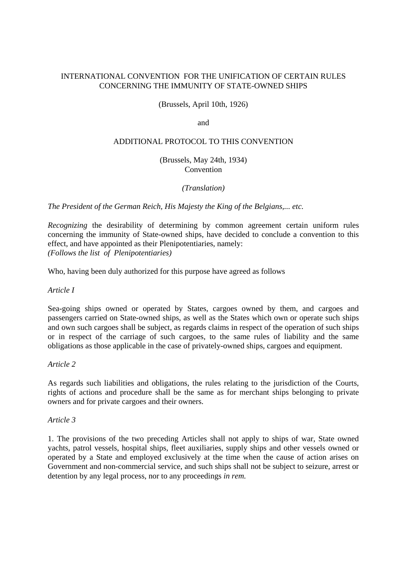## INTERNATIONAL CONVENTION FOR THE UNIFICATION OF CERTAIN RULES CONCERNING THE IMMUNITY OF STATE-OWNED SHIPS

(Brussels, April 10th, 1926)

and

#### ADDITIONAL PROTOCOL TO THIS CONVENTION

(Brussels, May 24th, 1934) Convention

*(Translation)*

*The President of the German Reich, His Majesty the King of the Belgians,... etc.*

*Recognizing* the desirability of determining by common agreement certain uniform rules concerning the immunity of State-owned ships, have decided to conclude a convention to this effect, and have appointed as their Plenipotentiaries, namely: *(Follows the list of Plenipotentiaries)*

Who, having been duly authorized for this purpose have agreed as follows

*Article I*

Sea-going ships owned or operated by States, cargoes owned by them, and cargoes and passengers carried on State-owned ships, as well as the States which own or operate such ships and own such cargoes shall be subject, as regards claims in respect of the operation of such ships or in respect of the carriage of such cargoes, to the same rules of liability and the same obligations as those applicable in the case of privately-owned ships, cargoes and equipment.

*Article 2*

As regards such liabilities and obligations, the rules relating to the jurisdiction of the Courts, rights of actions and procedure shall be the same as for merchant ships belonging to private owners and for private cargoes and their owners.

*Article 3*

1. The provisions of the two preceding Articles shall not apply to ships of war, State owned yachts, patrol vessels, hospital ships, fleet auxiliaries, supply ships and other vessels owned or operated by a State and employed exclusively at the time when the cause of action arises on Government and non-commercial service, and such ships shall not be subject to seizure, arrest or detention by any legal process, nor to any proceedings *in rem.*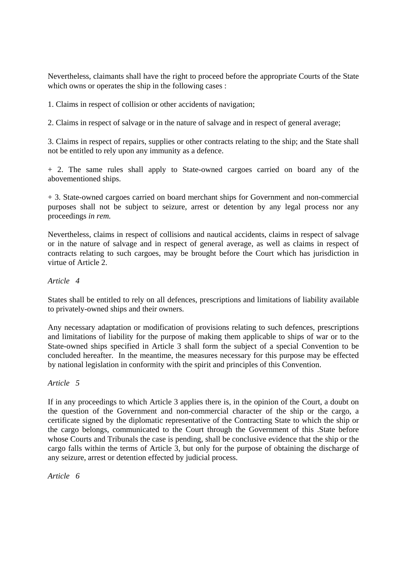Nevertheless, claimants shall have the right to proceed before the appropriate Courts of the State which owns or operates the ship in the following cases :

1. Claims in respect of collision or other accidents of navigation;

2. Claims in respect of salvage or in the nature of salvage and in respect of general average;

3. Claims in respect of repairs, supplies or other contracts relating to the ship; and the State shall not be entitled to rely upon any immunity as a defence.

+ 2. The same rules shall apply to State-owned cargoes carried on board any of the abovementioned ships.

+ 3. State-owned cargoes carried on board merchant ships for Government and non-commercial purposes shall not be subject to seizure, arrest or detention by any legal process nor any proceedings *in rem.*

Nevertheless, claims in respect of collisions and nautical accidents, claims in respect of salvage or in the nature of salvage and in respect of general average, as well as claims in respect of contracts relating to such cargoes, may be brought before the Court which has jurisdiction in virtue of Article 2.

## *Article 4*

States shall be entitled to rely on all defences, prescriptions and limitations of liability available to privately-owned ships and their owners.

Any necessary adaptation or modification of provisions relating to such defences, prescriptions and limitations of liability for the purpose of making them applicable to ships of war or to the State-owned ships specified in Article 3 shall form the subject of a special Convention to be concluded hereafter. In the meantime, the measures necessary for this purpose may be effected by national legislation in conformity with the spirit and principles of this Convention.

*Article 5*

If in any proceedings to which Article 3 applies there is, in the opinion of the Court, a doubt on the question of the Government and non-commercial character of the ship or the cargo, a certificate signed by the diplomatic representative of the Contracting State to which the ship or the cargo belongs, communicated to the Court through the Government of this .State before whose Courts and Tribunals the case is pending, shall be conclusive evidence that the ship or the cargo falls within the terms of Article 3, but only for the purpose of obtaining the discharge of any seizure, arrest or detention effected by judicial process.

*Article 6*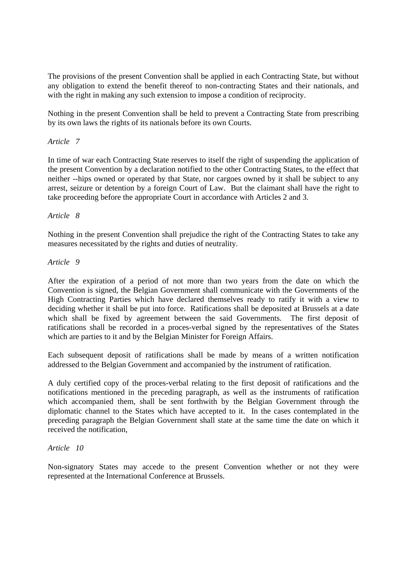The provisions of the present Convention shall be applied in each Contracting State, but without any obligation to extend the benefit thereof to non-contracting States and their nationals, and with the right in making any such extension to impose a condition of reciprocity.

Nothing in the present Convention shall be held to prevent a Contracting State from prescribing by its own laws the rights of its nationals before its own Courts.

## *Article 7*

In time of war each Contracting State reserves to itself the right of suspending the application of the present Convention by a declaration notified to the other Contracting States, to the effect that neither --hips owned or operated by that State, nor cargoes owned by it shall be subject to any arrest, seizure or detention by a foreign Court of Law. But the claimant shall have the right to take proceeding before the appropriate Court in accordance with Articles 2 and 3.

# *Article 8*

Nothing in the present Convention shall prejudice the right of the Contracting States to take any measures necessitated by the rights and duties of neutrality.

## *Article 9*

After the expiration of a period of not more than two years from the date on which the Convention is signed, the Belgian Government shall communicate with the Governments of the High Contracting Parties which have declared themselves ready to ratify it with a view to deciding whether it shall be put into force. Ratifications shall be deposited at Brussels at a date which shall be fixed by agreement between the said Governments. The first deposit of ratifications shall be recorded in a proces-verbal signed by the representatives of the States which are parties to it and by the Belgian Minister for Foreign Affairs.

Each subsequent deposit of ratifications shall be made by means of a written notification addressed to the Belgian Government and accompanied by the instrument of ratification.

A duly certified copy of the proces-verbal relating to the first deposit of ratifications and the notifications mentioned in the preceding paragraph, as well as the instruments of ratification which accompanied them, shall be sent forthwith by the Belgian Government through the diplomatic channel to the States which have accepted to it. In the cases contemplated in the preceding paragraph the Belgian Government shall state at the same time the date on which it received the notification,

## *Article 10*

Non-signatory States may accede to the present Convention whether or not they were represented at the International Conference at Brussels.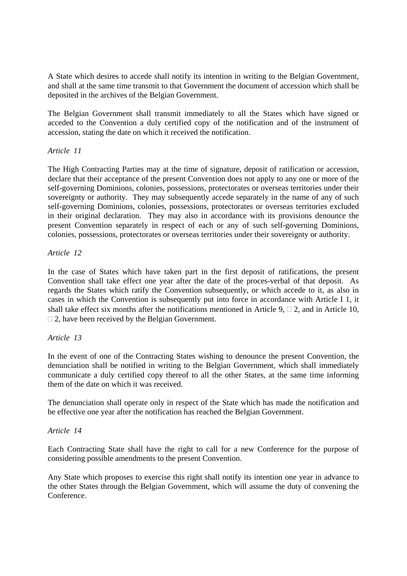A State which desires to accede shall notify its intention in writing to the Belgian Government, and shall at the same time transmit to that Government the document of accession which shall be deposited in the archives of the Belgian Government.

The Belgian Government shall transmit immediately to all the States which have signed or acceded to the Convention a duly certified copy of the notification and of the instrument of accession, stating the date on which it received the notification.

# *Article 11*

The High Contracting Parties may at the time of signature, deposit of ratification or accession, declare that their acceptance of the present Convention does not apply to any one or more of the self-governing Dominions, colonies, possessions, protectorates or overseas territories under their sovereignty or authority. They may subsequently accede separately in the name of any of such self-governing Dominions, colonies, possessions, protectorates or overseas territories excluded in their original declaration. They may also in accordance with its provisions denounce the present Convention separately in respect of each or any of such self-governing Dominions, colonies, possessions, protectorates or overseas territories under their sovereignty or authority.

# *Article 12*

In the case of States which have taken part in the first deposit of ratifications, the present Convention shall take effect one year after the date of the proces-verbal of that deposit. As regards the States which ratify the Convention subsequently, or which accede to it, as also in cases in which the Convention is subsequently put into force in accordance with Article I 1, it shall take effect six months after the notifications mentioned in Article 9,  $\Box$  2, and in Article 10,  $\Box$  2, have been received by the Belgian Government.

## *Article 13*

In the event of one of the Contracting States wishing to denounce the present Convention, the denunciation shall be notified in writing to the Belgian Government, which shall immediately communicate a duly certified copy thereof to all the other States, at the same time informing them of the date on which it was received.

The denunciation shall operate only in respect of the State which has made the notification and be effective one year after the notification has reached the Belgian Government.

## *Article 14*

Each Contracting State shall have the right to call for a new Conference for the purpose of considering possible amendments to the present Convention.

Any State which proposes to exercise this right shall notify its intention one year in advance to the other States through the Belgian Government, which will assume the duty of convening the Conference.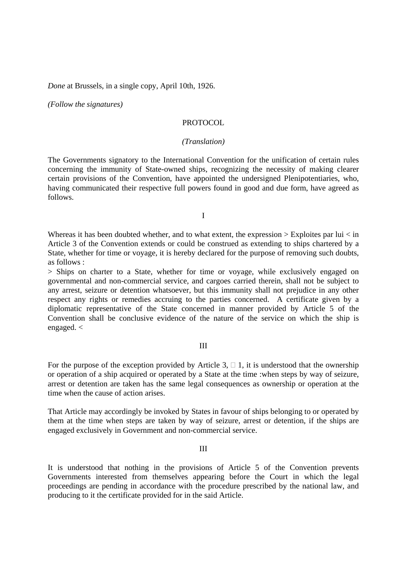*Done* at Brussels, in a single copy, April 10th, 1926.

*(Follow the signatures)*

#### PROTOCOL

#### *(Translation)*

The Governments signatory to the International Convention for the unification of certain rules concerning the immunity of State-owned ships, recognizing the necessity of making clearer certain provisions of the Convention, have appointed the undersigned Plenipotentiaries, who, having communicated their respective full powers found in good and due form, have agreed as follows.

I

Whereas it has been doubted whether, and to what extent, the expression  $>$  Exploites par lui  $<$  in Article 3 of the Convention extends or could be construed as extending to ships chartered by a State, whether for time or voyage, it is hereby declared for the purpose of removing such doubts, as follows :

> Ships on charter to a State, whether for time or voyage, while exclusively engaged on governmental and non-commercial service, and cargoes carried therein, shall not be subject to any arrest, seizure or detention whatsoever, but this immunity shall not prejudice in any other respect any rights or remedies accruing to the parties concerned. A certificate given by a diplomatic representative of the State concerned in manner provided by Article 5 of the Convention shall be conclusive evidence of the nature of the service on which the ship is engaged. <

#### III

For the purpose of the exception provided by Article 3,  $\Box$  1, it is understood that the ownership or operation of a ship acquired or operated by a State at the time :when steps by way of seizure, arrest or detention are taken has the same legal consequences as ownership or operation at the time when the cause of action arises.

That Article may accordingly be invoked by States in favour of ships belonging to or operated by them at the time when steps are taken by way of seizure, arrest or detention, if the ships are engaged exclusively in Government and non-commercial service.

#### III

It is understood that nothing in the provisions of Article 5 of the Convention prevents Governments interested from themselves appearing before the Court in which the legal proceedings are pending in accordance with the procedure prescribed by the national law, and producing to it the certificate provided for in the said Article.